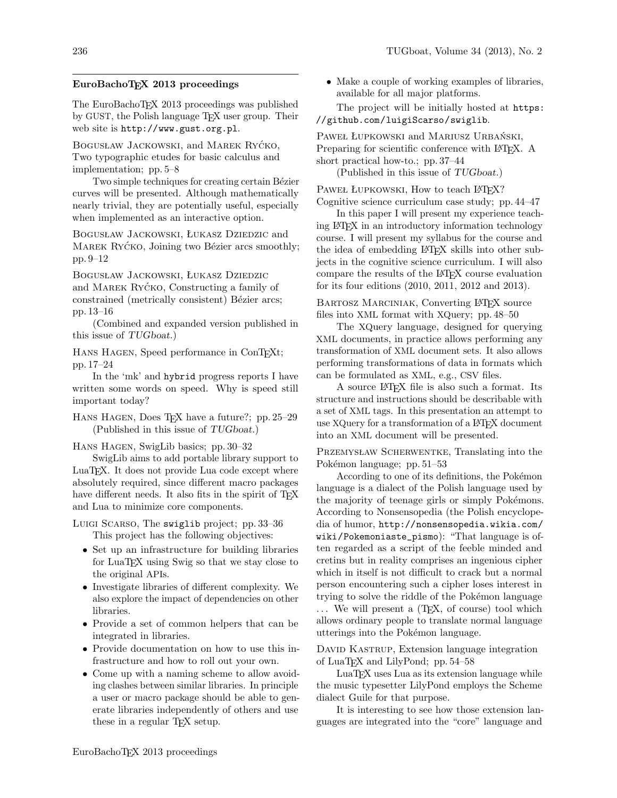# EuroBachoTEX 2013 proceedings

The EuroBachoTFX 2013 proceedings was published by GUST, the Polish language TFX user group. Their web site is http://www.gust.org.pl.

BOGUSŁAW JACKOWSKI, and MAREK RYĆKO, Two typographic etudes for basic calculus and implementation; pp. 5–8

Two simple techniques for creating certain Bézier curves will be presented. Although mathematically nearly trivial, they are potentially useful, especially when implemented as an interactive option.

BOGUSŁAW JACKOWSKI, ŁUKASZ DZIEDZIC and MAREK RYCKO, Joining two Bézier arcs smoothly; pp. 9–12

Bogusław Jackowski, Łukasz Dziedzic and MAREK RYCKO, Constructing a family of constrained (metrically consistent) Bézier arcs; pp. 13–16

(Combined and expanded version published in this issue of TUGboat.)

HANS HAGEN, Speed performance in ConTEXt; pp. 17–24

In the 'mk' and hybrid progress reports I have written some words on speed. Why is speed still important today?

HANS HAGEN, Does TFX have a future?; pp. 25–29 (Published in this issue of TUGboat.)

Hans Hagen, SwigLib basics; pp. 30–32

SwigLib aims to add portable library support to LuaTEX. It does not provide Lua code except where absolutely required, since different macro packages have different needs. It also fits in the spirit of TFX and Lua to minimize core components.

Luigi Scarso, The swiglib project; pp. 33-36 This project has the following objectives:

- Set up an infrastructure for building libraries for LuaT<sub>EX</sub> using Swig so that we stay close to the original APIs.
- Investigate libraries of different complexity. We also explore the impact of dependencies on other libraries.
- Provide a set of common helpers that can be integrated in libraries.
- Provide documentation on how to use this infrastructure and how to roll out your own.
- Come up with a naming scheme to allow avoiding clashes between similar libraries. In principle a user or macro package should be able to generate libraries independently of others and use these in a regular TEX setup.

• Make a couple of working examples of libraries, available for all major platforms.

The project will be initially hosted at https: //github.com/luigiScarso/swiglib.

PAWEŁ ŁUPKOWSKI and MARIUSZ URBAŃSKI, Preparing for scientific conference with LAT<sub>EX</sub>. A short practical how-to.; pp. 37–44

(Published in this issue of TUGboat.)

PAWEŁ ŁUPKOWSKI, How to teach LATEX? Cognitive science curriculum case study; pp. 44–47

In this paper I will present my experience teaching LATEX in an introductory information technology course. I will present my syllabus for the course and the idea of embedding LAT<sub>EX</sub> skills into other subjects in the cognitive science curriculum. I will also compare the results of the LATEX course evaluation for its four editions (2010, 2011, 2012 and 2013).

BARTOSZ MARCINIAK, Converting LAT<sub>EX</sub> source files into XML format with XQuery; pp. 48–50

The XQuery language, designed for querying XML documents, in practice allows performing any transformation of XML document sets. It also allows performing transformations of data in formats which can be formulated as XML, e.g., CSV files.

A source LATEX file is also such a format. Its structure and instructions should be describable with a set of XML tags. In this presentation an attempt to use XQuery for a transformation of a L<sup>A</sup>TFX document into an XML document will be presented.

Przemysław Scherwentke, Translating into the Pokémon language; pp. 51–53

According to one of its definitions, the Pokémon language is a dialect of the Polish language used by the majority of teenage girls or simply Pokémons. According to Nonsensopedia (the Polish encyclopedia of humor, http://nonsensopedia.wikia.com/ wiki/Pokemoniaste\_pismo): "That language is often regarded as a script of the feeble minded and cretins but in reality comprises an ingenious cipher which in itself is not difficult to crack but a normal person encountering such a cipher loses interest in trying to solve the riddle of the Pokémon language ... We will present a (T<sub>E</sub>X, of course) tool which allows ordinary people to translate normal language utterings into the Pokémon language.

DAVID KASTRUP, Extension language integration of LuaTEX and LilyPond; pp. 54–58

LuaTEX uses Lua as its extension language while the music typesetter LilyPond employs the Scheme dialect Guile for that purpose.

It is interesting to see how those extension languages are integrated into the "core" language and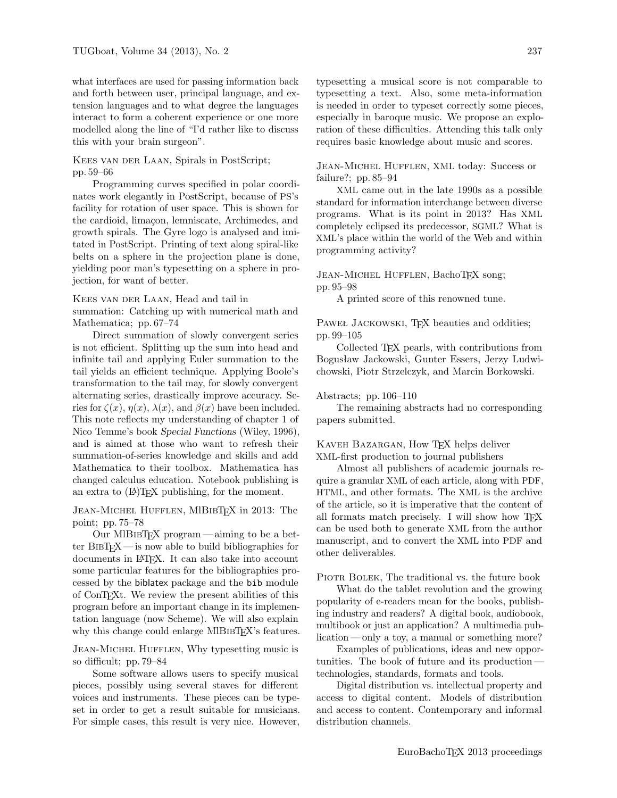what interfaces are used for passing information back and forth between user, principal language, and extension languages and to what degree the languages interact to form a coherent experience or one more modelled along the line of "I'd rather like to discuss this with your brain surgeon".

# Kees van der Laan, Spirals in PostScript; pp. 59–66

Programming curves specified in polar coordinates work elegantly in PostScript, because of PS's facility for rotation of user space. This is shown for the cardioid, limaçon, lemniscate, Archimedes, and growth spirals. The Gyre logo is analysed and imitated in PostScript. Printing of text along spiral-like belts on a sphere in the projection plane is done, yielding poor man's typesetting on a sphere in projection, for want of better.

KEES VAN DER LAAN, Head and tail in

summation: Catching up with numerical math and Mathematica; pp. 67–74

Direct summation of slowly convergent series is not efficient. Splitting up the sum into head and infinite tail and applying Euler summation to the tail yields an efficient technique. Applying Boole's transformation to the tail may, for slowly convergent alternating series, drastically improve accuracy. Series for  $\zeta(x)$ ,  $\eta(x)$ ,  $\lambda(x)$ , and  $\beta(x)$  have been included. This note reflects my understanding of chapter 1 of Nico Temme's book Special Functions (Wiley, 1996), and is aimed at those who want to refresh their summation-of-series knowledge and skills and add Mathematica to their toolbox. Mathematica has changed calculus education. Notebook publishing is an extra to  $(A)$ T<sub>F</sub>X publishing, for the moment.

## JEAN-MICHEL HUFFLEN, MIBIBTFX in 2013: The point; pp. 75–78

Our MIBIBTEX program—aiming to be a better  $BIBTrX$  — is now able to build bibliographies for documents in IATEX. It can also take into account some particular features for the bibliographies processed by the biblatex package and the bib module of ConTEXt. We review the present abilities of this program before an important change in its implementation language (now Scheme). We will also explain why this change could enlarge MIBIBTEX's features.

Jean-Michel Hufflen, Why typesetting music is so difficult; pp. 79–84

Some software allows users to specify musical pieces, possibly using several staves for different voices and instruments. These pieces can be typeset in order to get a result suitable for musicians. For simple cases, this result is very nice. However, typesetting a musical score is not comparable to typesetting a text. Also, some meta-information is needed in order to typeset correctly some pieces, especially in baroque music. We propose an exploration of these difficulties. Attending this talk only requires basic knowledge about music and scores.

Jean-Michel Hufflen, XML today: Success or failure?; pp. 85–94

XML came out in the late 1990s as a possible standard for information interchange between diverse programs. What is its point in 2013? Has XML completely eclipsed its predecessor, SGML? What is XML's place within the world of the Web and within programming activity?

## JEAN-MICHEL HUFFLEN, BachoT<sub>E</sub>X song; pp. 95–98

A printed score of this renowned tune.

PAWEŁ JACKOWSKI, TFX beauties and oddities; pp. 99–105

Collected TEX pearls, with contributions from Bogusław Jackowski, Gunter Essers, Jerzy Ludwichowski, Piotr Strzelczyk, and Marcin Borkowski.

#### Abstracts; pp. 106–110

The remaining abstracts had no corresponding papers submitted.

## KAVEH BAZARGAN, How TFX helps deliver XML-first production to journal publishers

Almost all publishers of academic journals require a granular XML of each article, along with PDF, HTML, and other formats. The XML is the archive of the article, so it is imperative that the content of all formats match precisely. I will show how TEX can be used both to generate XML from the author manuscript, and to convert the XML into PDF and other deliverables.

PIOTR BOLEK, The traditional vs. the future book

What do the tablet revolution and the growing popularity of e-readers mean for the books, publishing industry and readers? A digital book, audiobook, multibook or just an application? A multimedia publication — only a toy, a manual or something more?

Examples of publications, ideas and new opportunities. The book of future and its production technologies, standards, formats and tools.

Digital distribution vs. intellectual property and access to digital content. Models of distribution and access to content. Contemporary and informal distribution channels.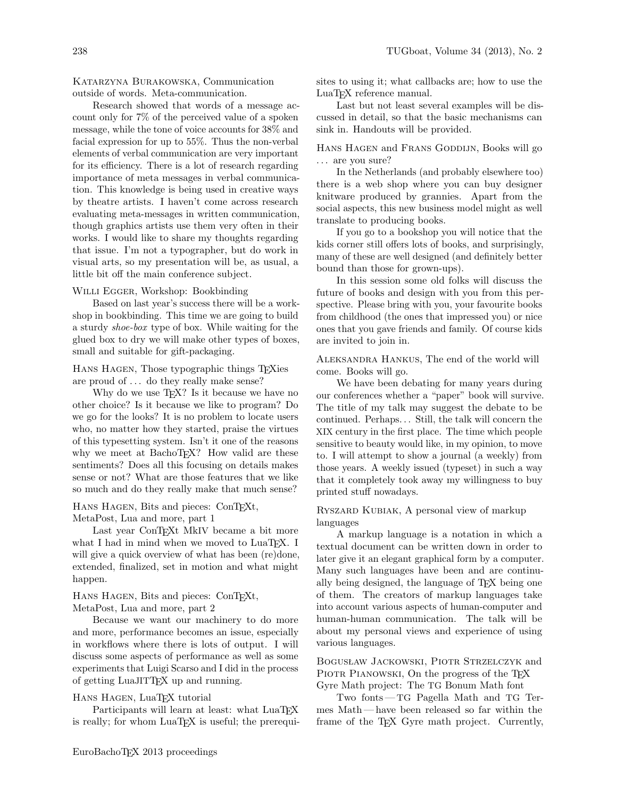Katarzyna Burakowska, Communication outside of words. Meta-communication.

Research showed that words of a message account only for 7% of the perceived value of a spoken message, while the tone of voice accounts for 38% and facial expression for up to 55%. Thus the non-verbal elements of verbal communication are very important for its efficiency. There is a lot of research regarding importance of meta messages in verbal communication. This knowledge is being used in creative ways by theatre artists. I haven't come across research evaluating meta-messages in written communication, though graphics artists use them very often in their works. I would like to share my thoughts regarding that issue. I'm not a typographer, but do work in visual arts, so my presentation will be, as usual, a little bit off the main conference subject.

#### WILLI EGGER, Workshop: Bookbinding

Based on last year's success there will be a workshop in bookbinding. This time we are going to build a sturdy shoe-box type of box. While waiting for the glued box to dry we will make other types of boxes, small and suitable for gift-packaging.

Hans Hagen, Those typographic things TEXies are proud of . . . do they really make sense?

Why do we use T<sub>EX</sub>? Is it because we have no other choice? Is it because we like to program? Do we go for the looks? It is no problem to locate users who, no matter how they started, praise the virtues of this typesetting system. Isn't it one of the reasons why we meet at BachoT<sub>E</sub>X? How valid are these sentiments? Does all this focusing on details makes sense or not? What are those features that we like so much and do they really make that much sense?

#### HANS HAGEN, Bits and pieces: ConTEXt, MetaPost, Lua and more, part 1

Last year ConTEXt MkIV became a bit more what I had in mind when we moved to LuaTEX. I will give a quick overview of what has been (re)done, extended, finalized, set in motion and what might happen.

## HANS HAGEN, Bits and pieces: ConTEXt, MetaPost, Lua and more, part 2

Because we want our machinery to do more and more, performance becomes an issue, especially in workflows where there is lots of output. I will discuss some aspects of performance as well as some experiments that Luigi Scarso and I did in the process of getting LuaJITTEX up and running.

## Hans Hagen, LuaTEX tutorial

Participants will learn at least: what LuaT<sub>EX</sub> is really; for whom  $LuaTFX$  is useful; the prerequisites to using it; what callbacks are; how to use the LuaT<sub>EX</sub> reference manual.

Last but not least several examples will be discussed in detail, so that the basic mechanisms can sink in. Handouts will be provided.

HANS HAGEN and FRANS GODDIJN, Books will go ... are you sure?

In the Netherlands (and probably elsewhere too) there is a web shop where you can buy designer knitware produced by grannies. Apart from the social aspects, this new business model might as well translate to producing books.

If you go to a bookshop you will notice that the kids corner still offers lots of books, and surprisingly, many of these are well designed (and definitely better bound than those for grown-ups).

In this session some old folks will discuss the future of books and design with you from this perspective. Please bring with you, your favourite books from childhood (the ones that impressed you) or nice ones that you gave friends and family. Of course kids are invited to join in.

Aleksandra Hankus, The end of the world will come. Books will go.

We have been debating for many years during our conferences whether a "paper" book will survive. The title of my talk may suggest the debate to be continued. Perhaps. . . Still, the talk will concern the XIX century in the first place. The time which people sensitive to beauty would like, in my opinion, to move to. I will attempt to show a journal (a weekly) from those years. A weekly issued (typeset) in such a way that it completely took away my willingness to buy printed stuff nowadays.

## Ryszard Kubiak, A personal view of markup languages

A markup language is a notation in which a textual document can be written down in order to later give it an elegant graphical form by a computer. Many such languages have been and are continually being designed, the language of TFX being one of them. The creators of markup languages take into account various aspects of human-computer and human-human communication. The talk will be about my personal views and experience of using various languages.

Bogusław Jackowski, Piotr Strzelczyk and PIOTR PIANOWSKI, On the progress of the T<sub>E</sub>X Gyre Math project: The TG Bonum Math font

Two fonts—TG Pagella Math and TG Termes Math— have been released so far within the frame of the T<sub>F</sub>X Gyre math project. Currently,